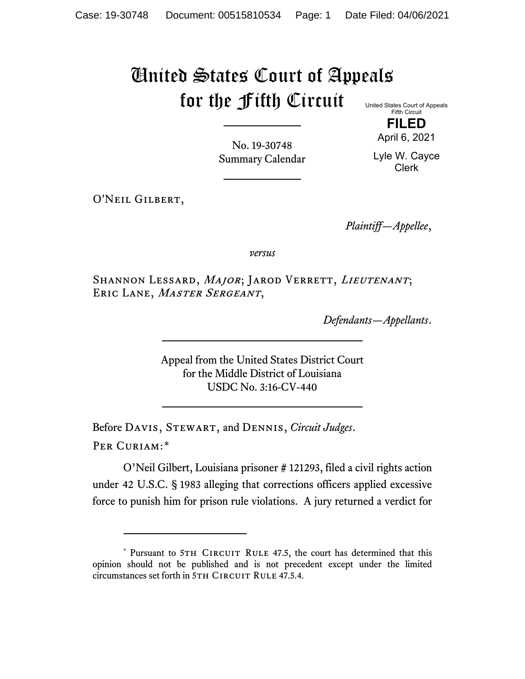## United States Court of Appeals for the Fifth Circuit

United States Court of Appeals Fifth Circuit **FILED**

April 6, 2021

Lyle W. Cayce Clerk

No. 19-30748 Summary Calendar

O'Neil Gilbert,

*Plaintiff—Appellee*,

*versus*

SHANNON LESSARD, MAJOR; JAROD VERRETT, LIEUTENANT; ERIC LANE, MASTER SERGEANT,

*Defendants—Appellants*.

Appeal from the United States District Court for the Middle District of Louisiana USDC No. 3:16-CV-440

Before Davis, Stewart, and Dennis, *Circuit Judges*. Per Curiam:[\\*](#page-0-0)

O'Neil Gilbert, Louisiana prisoner # 121293, filed a civil rights action under 42 U.S.C. § 1983 alleging that corrections officers applied excessive force to punish him for prison rule violations. A jury returned a verdict for

<span id="page-0-0"></span><sup>\*</sup> Pursuant to 5TH CIRCUIT RULE 47.5, the court has determined that this opinion should not be published and is not precedent except under the limited circumstances set forth in 5TH CIRCUIT RULE 47.5.4.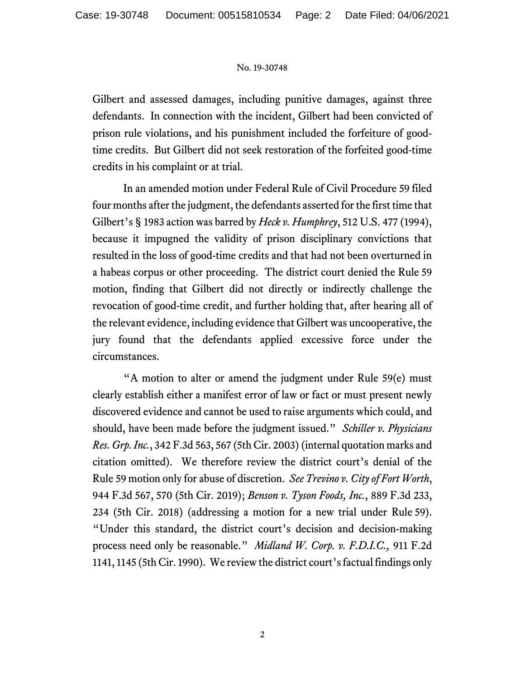## No. 19-30748

Gilbert and assessed damages, including punitive damages, against three defendants. In connection with the incident, Gilbert had been convicted of prison rule violations, and his punishment included the forfeiture of goodtime credits. But Gilbert did not seek restoration of the forfeited good-time credits in his complaint or at trial.

In an amended motion under Federal Rule of Civil Procedure 59 filed four months after the judgment, the defendants asserted for the first time that Gilbert's § 1983 action was barred by *Heck v. Humphrey*, 512 U.S. 477 (1994), because it impugned the validity of prison disciplinary convictions that resulted in the loss of good-time credits and that had not been overturned in a habeas corpus or other proceeding. The district court denied the Rule 59 motion, finding that Gilbert did not directly or indirectly challenge the revocation of good-time credit, and further holding that, after hearing all of the relevant evidence, including evidence that Gilbert was uncooperative, the jury found that the defendants applied excessive force under the circumstances.

"A motion to alter or amend the judgment under Rule 59(e) must clearly establish either a manifest error of law or fact or must present newly discovered evidence and cannot be used to raise arguments which could, and should, have been made before the judgment issued." *Schiller v. Physicians Res. Grp. Inc.*, 342 F.3d 563, 567 (5th Cir. 2003) (internal quotation marks and citation omitted). We therefore review the district court's denial of the Rule 59 motion only for abuse of discretion. *See Trevino v. City of Fort Worth*, 944 F.3d 567, 570 (5th Cir. 2019); *Benson v. Tyson Foods, Inc.*, 889 F.3d 233, 234 (5th Cir. 2018) (addressing a motion for a new trial under Rule 59). "Under this standard, the district court's decision and decision-making process need only be reasonable." *Midland W. Corp. v. F.D.I.C.,* 911 F.2d 1141, 1145 (5th Cir. 1990). We review the district court's factual findings only